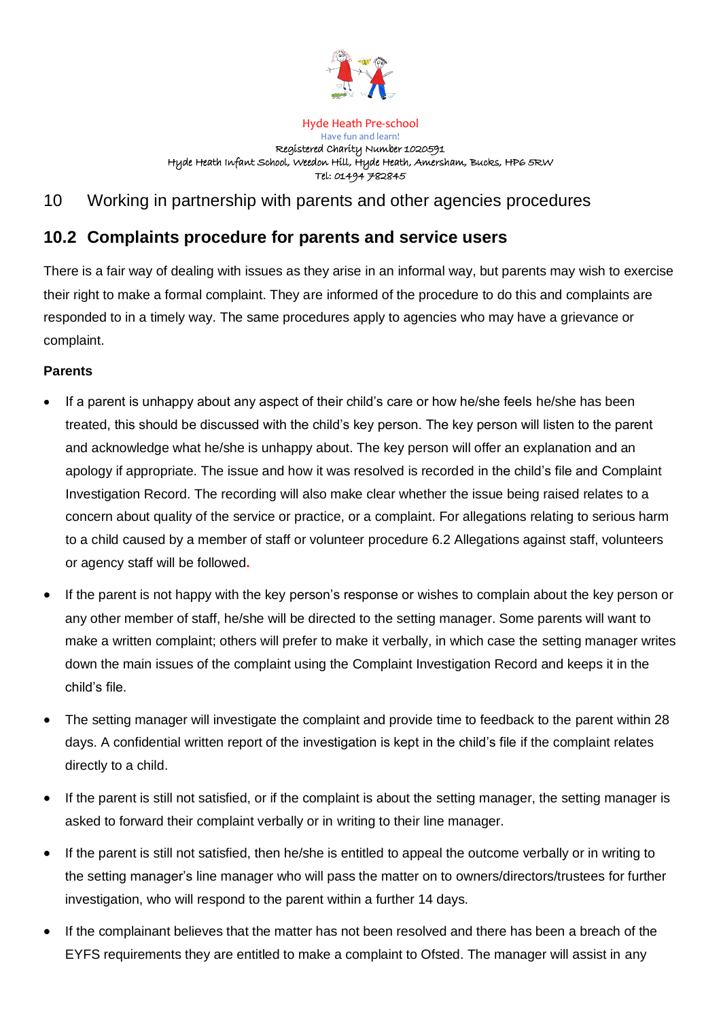

#### Hyde Heath Pre-school

Have fun and learn! Registered Charity Number 1020591 Hyde Heath Infant School, Weedon Hill, Hyde Heath, Amersham, Bucks, HP6 5RW Tel: 01494 782845

# 10 Working in partnership with parents and other agencies procedures

# **10.2 Complaints procedure for parents and service users**

There is a fair way of dealing with issues as they arise in an informal way, but parents may wish to exercise their right to make a formal complaint. They are informed of the procedure to do this and complaints are responded to in a timely way. The same procedures apply to agencies who may have a grievance or complaint.

### **Parents**

- If a parent is unhappy about any aspect of their child's care or how he/she feels he/she has been treated, this should be discussed with the child's key person. The key person will listen to the parent and acknowledge what he/she is unhappy about. The key person will offer an explanation and an apology if appropriate. The issue and how it was resolved is recorded in the child's file and Complaint Investigation Record. The recording will also make clear whether the issue being raised relates to a concern about quality of the service or practice, or a complaint. For allegations relating to serious harm to a child caused by a member of staff or volunteer procedure 6.2 Allegations against staff, volunteers or agency staff will be followed**.**
- If the parent is not happy with the key person's response or wishes to complain about the key person or any other member of staff, he/she will be directed to the setting manager. Some parents will want to make a written complaint; others will prefer to make it verbally, in which case the setting manager writes down the main issues of the complaint using the Complaint Investigation Record and keeps it in the child's file.
- The setting manager will investigate the complaint and provide time to feedback to the parent within 28 days. A confidential written report of the investigation is kept in the child's file if the complaint relates directly to a child.
- If the parent is still not satisfied, or if the complaint is about the setting manager, the setting manager is asked to forward their complaint verbally or in writing to their line manager.
- If the parent is still not satisfied, then he/she is entitled to appeal the outcome verbally or in writing to the setting manager's line manager who will pass the matter on to owners/directors/trustees for further investigation, who will respond to the parent within a further 14 days.
- If the complainant believes that the matter has not been resolved and there has been a breach of the EYFS requirements they are entitled to make a complaint to Ofsted. The manager will assist in any